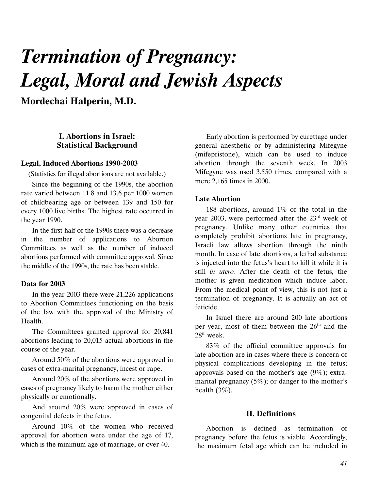# Termination of Pregnancy: Legal, Moral and Jewish Aspects

Mordechai Halperin, M.D.

## I. Abortions in Israel: Statistical Background

#### Legal, Induced Abortions 1990-2003

(Statistics for illegal abortions are not available.)

Since the beginning of the 1990s, the abortion rate varied between 11.8 and 13.6 per 1000 women of childbearing age or between 139 and 150 for every 1000 live births. The highest rate occurred in the year 1990.

In the first half of the 1990s there was a decrease in the number of applications to Abortion Committees as well as the number of induced abortions performed with committee approval. Since the middle of the 1990s, the rate has been stable.

#### Data for 2003

In the year 2003 there were 21,226 applications to Abortion Committees functioning on the basis of the law with the approval of the Ministry of Health.

The Committees granted approval for 20,841 abortions leading to 20,015 actual abortions in the course of the year.

Around 50% of the abortions were approved in cases of extra-marital pregnancy, incest or rape.

Around 20% of the abortions were approved in cases of pregnancy likely to harm the mother either physically or emotionally.

And around 20% were approved in cases of congenital defects in the fetus.

Around 10% of the women who received approval for abortion were under the age of 17, which is the minimum age of marriage, or over 40.

Early abortion is performed by curettage under general anesthetic or by administering Mifegyne (mifepristone), which can be used to induce abortion through the seventh week. In 2003 Mifegyne was used 3,550 times, compared with a mere 2,165 times in 2000.

## Late Abortion

188 abortions, around 1% of the total in the year 2003, were performed after the 23rd week of pregnancy. Unlike many other countries that completely prohibit abortions late in pregnancy, Israeli law allows abortion through the ninth month. In case of late abortions, a lethal substance is injected into the fetus's heart to kill it while it is still in utero. After the death of the fetus, the mother is given medication which induce labor. From the medical point of view, this is not just a termination of pregnancy. It is actually an act of feticide.

In Israel there are around 200 late abortions per year, most of them between the 26<sup>th</sup> and the  $28<sup>th</sup>$  week.

83% of the official committee approvals for late abortion are in cases where there is concern of physical complications developing in the fetus; approvals based on the mother's age (9%); extramarital pregnancy (5%); or danger to the mother's health  $(3\%)$ .

#### II. Definitions

Abortion is defined as termination of pregnancy before the fetus is viable. Accordingly, the maximum fetal age which can be included in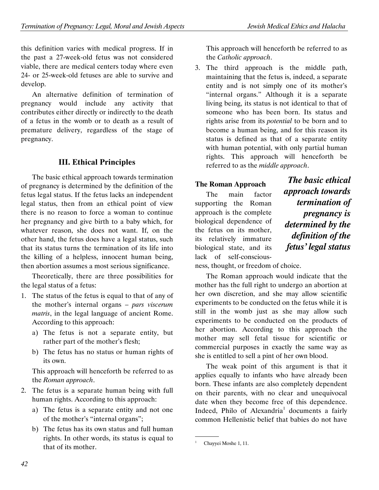this definition varies with medical progress. If in the past a 27-week-old fetus was not considered viable, there are medical centers today where even 24- or 25-week-old fetuses are able to survive and develop.

An alternative definition of termination of pregnancy would include any activity that contributes either directly or indirectly to the death of a fetus in the womb or to death as a result of premature delivery, regardless of the stage of pregnancy.

## III. Ethical Principles

The basic ethical approach towards termination of pregnancy is determined by the definition of the fetus legal status. If the fetus lacks an independent legal status, then from an ethical point of view there is no reason to force a woman to continue her pregnancy and give birth to a baby which, for whatever reason, she does not want. If, on the other hand, the fetus does have a legal status, such that its status turns the termination of its life into the killing of a helpless, innocent human being, then abortion assumes a most serious significance.

Theoretically, there are three possibilities for the legal status of a fetus:

- 1. The status of the fetus is equal to that of any of the mother's internal organs – pars viscerum matris, in the legal language of ancient Rome. According to this approach:
	- a) The fetus is not a separate entity, but rather part of the mother's flesh;
	- b) The fetus has no status or human rights of its own.

This approach will henceforth be referred to as the Roman approach.

- 2. The fetus is a separate human being with full human rights. According to this approach:
	- a) The fetus is a separate entity and not one of the mother's "internal organs";
	- b) The fetus has its own status and full human rights. In other words, its status is equal to that of its mother.

This approach will henceforth be referred to as the Catholic approach.

3. The third approach is the middle path, maintaining that the fetus is, indeed, a separate entity and is not simply one of its mother's "internal organs." Although it is a separate living being, its status is not identical to that of someone who has been born. Its status and rights arise from its potential to be born and to become a human being, and for this reason its status is defined as that of a separate entity with human potential, with only partial human rights. This approach will henceforth be referred to as the middle approach.

## **The Roman Approach**

The main factor supporting the Roman approach is the complete biological dependence of the fetus on its mother, its relatively immature biological state, and its lack of self-conscious-

The basic ethical approach towards termination of pregnancy is determined by the definition of the fetus' legal status

ness, thought, or freedom of choice.

The Roman approach would indicate that the mother has the full right to undergo an abortion at her own discretion, and she may allow scientific experiments to be conducted on the fetus while it is still in the womb just as she may allow such experiments to be conducted on the products of her abortion. According to this approach the mother may sell fetal tissue for scientific or commercial purposes in exactly the same way as she is entitled to sell a pint of her own blood.

The weak point of this argument is that it applies equally to infants who have already been born. These infants are also completely dependent on their parents, with no clear and unequivocal date when they become free of this dependence. Indeed, Philo of Alexandria<sup>1</sup> documents a fairly common Hellenistic belief that babies do not have

 <sup>.</sup> 1 Chayyei Moshe 1, 11.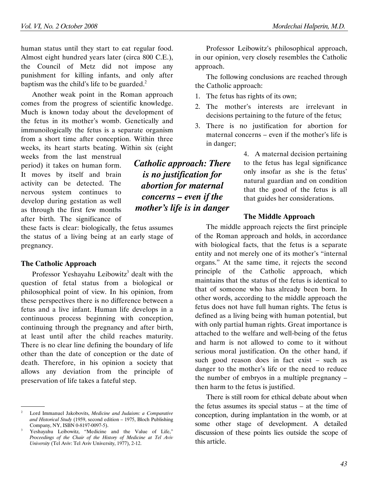human status until they start to eat regular food. Almost eight hundred years later (circa 800 C.E.), the Council of Metz did not impose any punishment for killing infants, and only after baptism was the child's life to be guarded. $2$ 

Another weak point in the Roman approach comes from the progress of scientific knowledge. Much is known today about the development of the fetus in its mother's womb. Genetically and immunoilogically the fetus is a separate organism from a short time after conception. Within three weeks, its heart starts beating. Within six (eight

weeks from the last menstrual period) it takes on human form. It moves by itself and brain activity can be detected. The nervous system continues to develop during gestation as well as through the first few months after birth. The significance of

these facts is clear: biologically, the fetus assumes the status of a living being at an early stage of pregnancy.

#### The Catholic Approach

.

Professor Yeshayahu Leibowitz<sup>3</sup> dealt with the question of fetal status from a biological or philosophical point of view. In his opinion, from these perspectives there is no difference between a fetus and a live infant. Human life develops in a continuous process beginning with conception, continuing through the pregnancy and after birth, at least until after the child reaches maturity. There is no clear line defining the boundary of life other than the date of conception or the date of death. Therefore, in his opinion a society that allows any deviation from the principle of preservation of life takes a fateful step.

Professor Leibowitz's philosophical approach, in our opinion, very closely resembles the Catholic approach.

The following conclusions are reached through the Catholic approach:

- 1. The fetus has rights of its own;
- 2. The mother's interests are irrelevant in decisions pertaining to the future of the fetus;
- 3. There is no justification for abortion for maternal concerns – even if the mother's life is in danger;

4. A maternal decision pertaining to the fetus has legal significance only insofar as she is the fetus' natural guardian and on condition that the good of the fetus is all that guides her considerations.

#### The Middle Approach

The middle approach rejects the first principle of the Roman approach and holds, in accordance with biological facts, that the fetus is a separate entity and not merely one of its mother's "internal organs." At the same time, it rejects the second principle of the Catholic approach, which maintains that the status of the fetus is identical to that of someone who has already been born. In other words, according to the middle approach the fetus does not have full human rights. The fetus is defined as a living being with human potential, but with only partial human rights. Great importance is attached to the welfare and well-being of the fetus and harm is not allowed to come to it without serious moral justification. On the other hand, if such good reason does in fact exist – such as danger to the mother's life or the need to reduce the number of embryos in a multiple pregnancy – then harm to the fetus is justified.

There is still room for ethical debate about when the fetus assumes its special status – at the time of conception, during implantation in the womb, or at some other stage of development. A detailed discussion of these points lies outside the scope of this article.

Catholic approach: There is no justification for abortion for maternal concerns – even if the mother's life is in danger

<sup>2</sup> Lord Immanuel Jakobovits, Medicine and Judaism: a Comparative and Historical Study (1959, second edition – 1975, Bloch Publishing Company, NY, ISBN 0-8197-0097-5).

<sup>3</sup> Yeshayahu Leibowitz, "Medicine and the Value of Life," Proceedings of the Chair of the History of Medicine at Tel Aviv University (Tel Aviv: Tel Aviv University, 1977), 2-12.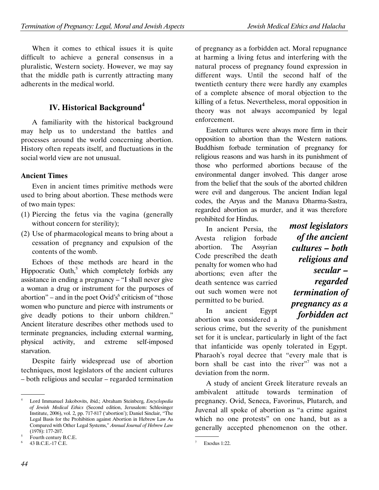When it comes to ethical issues it is quite difficult to achieve a general consensus in a pluralistic, Western society. However, we may say that the middle path is currently attracting many adherents in the medical world.

## IV. Historical Background**<sup>4</sup>**

A familiarity with the historical background may help us to understand the battles and processes around the world concerning abortion. History often repeats itself, and fluctuations in the social world view are not unusual.

## Ancient Times

Even in ancient times primitive methods were used to bring about abortion. These methods were of two main types:

- (1) Piercing the fetus via the vagina (generally without concern for sterility);
- (2) Use of pharmacological means to bring about a cessation of pregnancy and expulsion of the contents of the womb.

Echoes of these methods are heard in the Hippocratic Oath, $5$  which completely forbids any assistance in ending a pregnancy – "I shall never give a woman a drug or instrument for the purposes of abortion" – and in the poet Ovid's $<sup>6</sup>$  criticism of "those</sup> women who puncture and pierce with instruments or give deadly potions to their unborn children." Ancient literature describes other methods used to terminate pregnancies, including external warming, physical activity, and extreme self-imposed starvation.

Despite fairly widespread use of abortion techniques, most legislators of the ancient cultures – both religious and secular – regarded termination

of pregnancy as a forbidden act. Moral repugnance at harming a living fetus and interfering with the natural process of pregnancy found expression in different ways. Until the second half of the twentieth century there were hardly any examples of a complete absence of moral objection to the killing of a fetus. Nevertheless, moral opposition in theory was not always accompanied by legal enforcement.

Eastern cultures were always more firm in their opposition to abortion than the Western nations. Buddhism forbade termination of pregnancy for religious reasons and was harsh in its punishment of those who performed abortions because of the environmental danger involved. This danger arose from the belief that the souls of the aborted children were evil and dangerous. The ancient Indian legal codes, the Aryas and the Manava Dharma-Sastra, regarded abortion as murder, and it was therefore prohibited for Hindus.

In ancient Persia, the Avesta religion forbade abortion. The Assyrian Code prescribed the death penalty for women who had abortions; even after the death sentence was carried out such women were not permitted to be buried.

In ancient Egypt abortion was considered a most legislators of the ancient cultures – both religious and secular – regarded termination of pregnancy as a forbidden act

serious crime, but the severity of the punishment set for it is unclear, particularly in light of the fact that infanticide was openly tolerated in Egypt. Pharaoh's royal decree that "every male that is born shall be cast into the river"<sup>7</sup> was not a deviation from the norm.

A study of ancient Greek literature reveals an ambivalent attitude towards termination of pregnancy. Ovid, Seneca, Favorinus, Plutarch, and Juvenal all spoke of abortion as "a crime against which no one protests" on one hand, but as a generally accepted phenomenon on the other.

 <sup>.</sup> 4 Lord Immanuel Jakobovits, ibid.; Abraham Steinberg, Encyclopedia of Jewish Medical Ethics (Second edition, Jerusalem: Schlesinger Institute, 2006), vol. 2, pp. 717-817 ('abortion'); Daniel Sinclair, "The Legal Basis for the Prohibition against Abortion in Hebrew Law As Compared with Other Legal Systems," Annual Journal of Hebrew Law (1978): 177-207.

<sup>5</sup> Fourth century B.C.E.

<sup>6</sup> 43 B.C.E.-17 C.E.

 <sup>.</sup> 7 Exodus 1:22.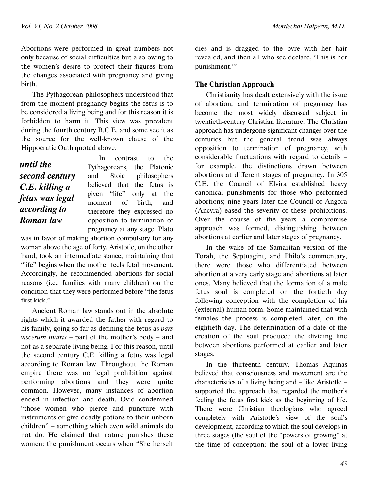Abortions were performed in great numbers not only because of social difficulties but also owing to the women's desire to protect their figures from the changes associated with pregnancy and giving birth.

The Pythagorean philosophers understood that from the moment pregnancy begins the fetus is to be considered a living being and for this reason it is forbidden to harm it. This view was prevalent during the fourth century B.C.E. and some see it as the source for the well-known clause of the Hippocratic Oath quoted above.

# until the second century C.E. killing a fetus was legal according to Roman law

In contrast to the Pythagoreans, the Platonic and Stoic philosophers believed that the fetus is given "life" only at the moment of birth, and therefore they expressed no opposition to termination of pregnancy at any stage. Plato

was in favor of making abortion compulsory for any woman above the age of forty. Aristotle, on the other hand, took an intermediate stance, maintaining that "life" begins when the mother feels fetal movement. Accordingly, he recommended abortions for social reasons (i.e., families with many children) on the condition that they were performed before "the fetus first kick."

Ancient Roman law stands out in the absolute rights which it awarded the father with regard to his family, going so far as defining the fetus as pars viscerum matris – part of the mother's body – and not as a separate living being. For this reason, until the second century C.E. killing a fetus was legal according to Roman law. Throughout the Roman empire there was no legal prohibition against performing abortions and they were quite common. However, many instances of abortion ended in infection and death. Ovid condemned "those women who pierce and puncture with instruments or give deadly potions to their unborn children" – something which even wild animals do not do. He claimed that nature punishes these women: the punishment occurs when "She herself dies and is dragged to the pyre with her hair revealed, and then all who see declare, 'This is her punishment.'"

## The Christian Approach

Christianity has dealt extensively with the issue of abortion, and termination of pregnancy has become the most widely discussed subject in twentieth-century Christian literature. The Christian approach has undergone significant changes over the centuries but the general trend was always opposition to termination of pregnancy, with considerable fluctuations with regard to details – for example, the distinctions drawn between abortions at different stages of pregnancy. In 305 C.E. the Council of Elvira established heavy canonical punishments for those who performed abortions; nine years later the Council of Angora (Ancyra) eased the severity of these prohibitions. Over the course of the years a compromise approach was formed, distinguishing between abortions at earlier and later stages of pregnancy.

In the wake of the Samaritan version of the Torah, the Septuagint, and Philo's commentary, there were those who differentiated between abortion at a very early stage and abortions at later ones. Many believed that the formation of a male fetus soul is completed on the fortieth day following conception with the completion of his (external) human form. Some maintained that with females the process is completed later, on the eightieth day. The determination of a date of the creation of the soul produced the dividing line between abortions performed at earlier and later stages.

In the thirteenth century, Thomas Aquinas believed that consciousness and movement are the characteristics of a living being and – like Aristotle – supported the approach that regarded the mother's feeling the fetus first kick as the beginning of life. There were Christian theologians who agreed completely with Aristotle's view of the soul's development, according to which the soul develops in three stages (the soul of the "powers of growing" at the time of conception; the soul of a lower living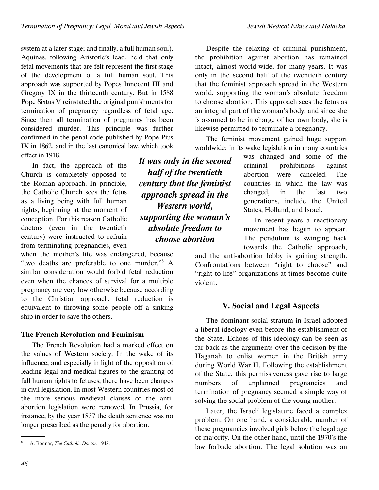system at a later stage; and finally, a full human soul). Aquinas, following Aristotle's lead, held that only fetal movements that are felt represent the first stage of the development of a full human soul. This approach was supported by Popes Innocent III and Gregory IX in the thirteenth century. But in 1588 Pope Sixtus V reinstated the original punishments for termination of pregnancy regardless of fetal age. Since then all termination of pregnancy has been considered murder. This principle was further confirmed in the penal code published by Pope Pius IX in 1862, and in the last canonical law, which took effect in 1918.

In fact, the approach of the Church is completely opposed to the Roman approach. In principle, the Catholic Church sees the fetus as a living being with full human rights, beginning at the moment of conception. For this reason Catholic doctors (even in the twentieth century) were instructed to refrain from terminating pregnancies, even

when the mother's life was endangered, because "two deaths are preferable to one murder."<sup>8</sup> A similar consideration would forbid fetal reduction even when the chances of survival for a multiple pregnancy are very low otherwise because according to the Christian approach, fetal reduction is equivalent to throwing some people off a sinking ship in order to save the others.

## The French Revolution and Feminism

The French Revolution had a marked effect on the values of Western society. In the wake of its influence, and especially in light of the opposition of leading legal and medical figures to the granting of full human rights to fetuses, there have been changes in civil legislation. In most Western countries most of the more serious medieval clauses of the antiabortion legislation were removed. In Prussia, for instance, by the year 1837 the death sentence was no longer prescribed as the penalty for abortion.

Despite the relaxing of criminal punishment, the prohibition against abortion has remained intact, almost world-wide, for many years. It was only in the second half of the twentieth century that the feminist approach spread in the Western world, supporting the woman's absolute freedom to choose abortion. This approach sees the fetus as an integral part of the woman's body, and since she is assumed to be in charge of her own body, she is likewise permitted to terminate a pregnancy.

The feminist movement gained huge support worldwide; in its wake legislation in many countries

> was changed and some of the criminal prohibitions against abortion were canceled. The countries in which the law was changed, in the last two generations, include the United States, Holland, and Israel.

> In recent years a reactionary movement has begun to appear. The pendulum is swinging back towards the Catholic approach,

and the anti-abortion lobby is gaining strength. Confrontations between "right to choose" and "right to life" organizations at times become quite violent.

## V. Social and Legal Aspects

The dominant social stratum in Israel adopted a liberal ideology even before the establishment of the State. Echoes of this ideology can be seen as far back as the arguments over the decision by the Haganah to enlist women in the British army during World War II. Following the establishment of the State, this permissiveness gave rise to large numbers of unplanned pregnancies and termination of pregnancy seemed a simple way of solving the social problem of the young mother.

Later, the Israeli legislature faced a complex problem. On one hand, a considerable number of these pregnancies involved girls below the legal age of majority. On the other hand, until the 1970's the law forbade abortion. The legal solution was an

It was only in the second half of the twentieth century that the feminist approach spread in the Western world, supporting the woman's absolute freedom to choose abortion

 <sup>.</sup> 8 A. Bonnar, The Catholic Doctor, 1948.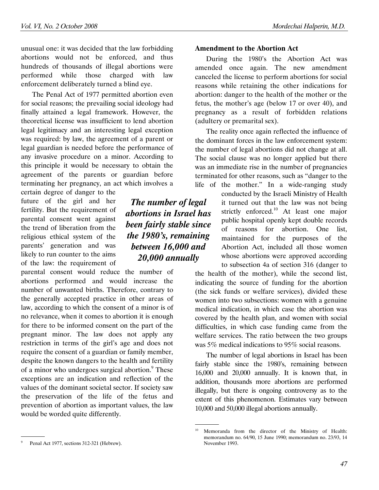unusual one: it was decided that the law forbidding abortions would not be enforced, and thus hundreds of thousands of illegal abortions were performed while those charged with law enforcement deliberately turned a blind eye.

The Penal Act of 1977 permitted abortion even for social reasons; the prevailing social ideology had finally attained a legal framework. However, the theoretical license was insufficient to lend abortion legal legitimacy and an interesting legal exception was required: by law, the agreement of a parent or legal guardian is needed before the performance of any invasive procedure on a minor. According to this principle it would be necessary to obtain the agreement of the parents or guardian before terminating her pregnancy, an act which involves a

certain degree of danger to the future of the girl and her fertility. But the requirement of parental consent went against the trend of liberation from the religious ethical system of the parents' generation and was likely to run counter to the aims of the law: the requirement of

parental consent would reduce the number of abortions performed and would increase the number of unwanted births. Therefore, contrary to the generally accepted practice in other areas of law, according to which the consent of a minor is of no relevance, when it comes to abortion it is enough for there to be informed consent on the part of the pregnant minor. The law does not apply any restriction in terms of the girl's age and does not require the consent of a guardian or family member, despite the known dangers to the health and fertility of a minor who undergoes surgical abortion.<sup>9</sup> These exceptions are an indication and reflection of the values of the dominant societal sector. If society saw the preservation of the life of the fetus and prevention of abortion as important values, the law would be worded quite differently.

The number of legal abortions in Israel has been fairly stable since the 1980's, remaining between 16,000 and 20,000 annually

#### Amendment to the Abortion Act

During the 1980's the Abortion Act was amended once again. The new amendment canceled the license to perform abortions for social reasons while retaining the other indications for abortion: danger to the health of the mother or the fetus, the mother's age (below 17 or over 40), and pregnancy as a result of forbidden relations (adultery or premarital sex).

The reality once again reflected the influence of the dominant forces in the law enforcement system: the number of legal abortions did not change at all. The social clause was no longer applied but there was an immediate rise in the number of pregnancies terminated for other reasons, such as "danger to the life of the mother." In a wide-ranging study

conducted by the Israeli Ministry of Health it turned out that the law was not being strictly enforced.<sup>10</sup> At least one major public hospital openly kept double records of reasons for abortion. One list, maintained for the purposes of the Abortion Act, included all those women whose abortions were approved according to subsection 4a of section 316 (danger to

the health of the mother), while the second list, indicating the source of funding for the abortion (the sick funds or welfare services), divided these women into two subsections: women with a genuine medical indication, in which case the abortion was covered by the health plan, and women with social difficulties, in which case funding came from the welfare services. The ratio between the two groups was 5% medical indications to 95% social reasons.

The number of legal abortions in Israel has been fairly stable since the 1980's, remaining between 16,000 and 20,000 annually. It is known that, in addition, thousands more abortions are performed illegally, but there is ongoing controversy as to the extent of this phenomenon. Estimates vary between 10,000 and 50,000 illegal abortions annually.

 <sup>.</sup> 9 Penal Act 1977, sections 312-321 (Hebrew).

 <sup>.</sup> <sup>10</sup> Memoranda from the director of the Ministry of Health: memorandum no. 64/90, 15 June 1990; memorandum no. 23/93, 14 November 1993.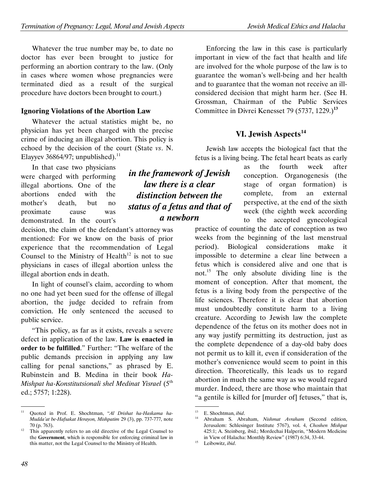Whatever the true number may be, to date no doctor has ever been brought to justice for performing an abortion contrary to the law. (Only in cases where women whose pregnancies were terminated died as a result of the surgical procedure have doctors been brought to court.)

## Ignoring Violations of the Abortion Law

Whatever the actual statistics might be, no physician has yet been charged with the precise crime of inducing an illegal abortion. This policy is echoed by the decision of the court (State vs. N. Elayyev 36864/97; unpublished). $^{11}$ 

In that case two physicians were charged with performing illegal abortions. One of the abortions ended with the mother's death, but no proximate cause was demonstrated. In the court's

decision, the claim of the defendant's attorney was mentioned: For we know on the basis of prior experience that the recommendation of Legal Counsel to the Ministry of Health<sup>12</sup> is not to sue physicians in cases of illegal abortion unless the illegal abortion ends in death.

In light of counsel's claim, according to whom no one had yet been sued for the offense of illegal abortion, the judge decided to refrain from conviction. He only sentenced the accused to public service.

"This policy, as far as it exists, reveals a severe defect in application of the law. Law is enacted in order to be fulfilled." Further: "The welfare of the public demands precision in applying any law calling for penal sanctions," as phrased by E. Rubinstein and B. Medina in their book Ha-Mishpat ha-Konstitutsionali shel Medinat Yisrael (5<sup>th</sup> ed.; 5757; 1:228).

Enforcing the law in this case is particularly important in view of the fact that health and life are involved for the whole purpose of the law is to guarantee the woman's well-being and her health and to guarantee that the woman not receive an illconsidered decision that might harm her. (See H. Grossman, Chairman of the Public Services Committee in Divrei Kenesset 79 (5737, 1229.)**<sup>13</sup>**

# VI. Jewish Aspects**<sup>14</sup>**

Jewish law accepts the biological fact that the fetus is a living being. The fetal heart beats as early

as the fourth week after conception. Organogenesis (the stage of organ formation) is complete, from an external perspective, at the end of the sixth week (the eighth week according to the accepted gynecological

practice of counting the date of conception as two weeks from the beginning of the last menstrual period). Biological considerations make it impossible to determine a clear line between a fetus which is considered alive and one that is not.<sup>15</sup> The only absolute dividing line is the moment of conception. After that moment, the fetus is a living body from the perspective of the life sciences. Therefore it is clear that abortion must undoubtedly constitute harm to a living creature. According to Jewish law the complete dependence of the fetus on its mother does not in any way justify permitting its destruction, just as the complete dependence of a day-old baby does not permit us to kill it, even if consideration of the mother's convenience would seem to point in this direction. Theoretically, this leads us to regard abortion in much the same way as we would regard murder. Indeed, there are those who maintain that "a gentile is killed for [murder of] fetuses," that is,

in the framework of Jewish law there is a clear distinction between the status of a fetus and that of a newborn

 <sup>.</sup> <sup>11</sup> Quoted in Prof. E. Shochtman, "Al Drishat ha-Haskama ha-Mudda'at be-Hafsakat Herayon, Mishpatim 29 (3), pp. 737-777, note 70 (p. 763).

 $12$  This apparently refers to an old directive of the Legal Counsel to the Government, which is responsible for enforcing criminal law in this matter, not the Legal Counsel to the Ministry of Health.

 <sup>.</sup> <sup>13</sup> E. Shochtman, *ibid*.

<sup>14</sup> Abraham S. Abraham, Nishmat Avraham (Second edition, Jerusalem: Schlesinger Institute 5767), vol. 4, Choshen Mishpat 425:1; A. Steinberg, ibid.; Mordechai Halperin, "Modern Medicine in View of Halacha: Monthly Review" (1987) 6:34, 33-44.

<sup>&</sup>lt;sup>15</sup> Leibowitz, ibid.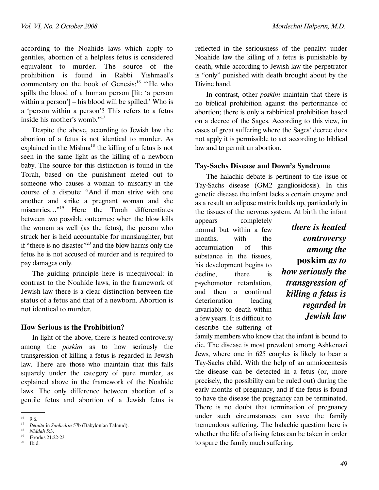according to the Noahide laws which apply to gentiles, abortion of a helpless fetus is considered equivalent to murder. The source of the prohibition is found in Rabbi Yishmael's commentary on the book of Genesis:<sup>16</sup> "He who spills the blood of a human person [lit: 'a person within a person'] – his blood will be spilled.' Who is a 'person within a person'? This refers to a fetus inside his mother's womb."<sup>17</sup>

Despite the above, according to Jewish law the abortion of a fetus is not identical to murder. As explained in the Mishna<sup>18</sup> the killing of a fetus is not seen in the same light as the killing of a newborn baby. The source for this distinction is found in the Torah, based on the punishment meted out to someone who causes a woman to miscarry in the course of a dispute: "And if men strive with one another and strike a pregnant woman and she miscarries…"<sup>19</sup> Here the Torah differentiates between two possible outcomes: when the blow kills the woman as well (as the fetus), the person who struck her is held accountable for manslaughter, but if "there is no disaster"<sup>20</sup> and the blow harms only the fetus he is not accused of murder and is required to pay damages only.

The guiding principle here is unequivocal: in contrast to the Noahide laws, in the framework of Jewish law there is a clear distinction between the status of a fetus and that of a newborn. Abortion is not identical to murder.

#### How Serious is the Prohibition?

In light of the above, there is heated controversy among the poskim as to how seriously the transgression of killing a fetus is regarded in Jewish law. There are those who maintain that this falls squarely under the category of pure murder, as explained above in the framework of the Noahide laws. The only difference between abortion of a gentile fetus and abortion of a Jewish fetus is

reflected in the seriousness of the penalty: under Noahide law the killing of a fetus is punishable by death, while according to Jewish law the perpetrator is "only" punished with death brought about by the Divine hand.

In contrast, other *poskim* maintain that there is no biblical prohibition against the performance of abortion; there is only a rabbinical prohibition based on a decree of the Sages. According to this view, in cases of great suffering where the Sages' decree does not apply it is permissible to act according to biblical law and to permit an abortion.

## Tay-Sachs Disease and Down's Syndrome

The halachic debate is pertinent to the issue of Tay-Sachs disease (GM2 gangliosidosis). In this genetic disease the infant lacks a certain enzyme and as a result an adipose matrix builds up, particularly in the tissues of the nervous system. At birth the infant

appears completely normal but within a few months, with the accumulation of this substance in the tissues, his development begins to decline, there is psychomotor retardation, and then a continual deterioration leading invariably to death within a few years. It is difficult to describe the suffering of

there is heated controversy among the poskim as to how seriously the transgression of killing a fetus is regarded in Jewish law

family members who know that the infant is bound to die. The disease is most prevalent among Ashkenazi Jews, where one in 625 couples is likely to bear a Tay-Sachs child. With the help of an amniocentesis the disease can be detected in a fetus (or, more precisely, the possibility can be ruled out) during the early months of pregnancy, and if the fetus is found to have the disease the pregnancy can be terminated. There is no doubt that termination of pregnancy under such circumstances can save the family tremendous suffering. The halachic question here is whether the life of a living fetus can be taken in order to spare the family much suffering.

 <sup>.</sup>  $16$  9:6.

<sup>17</sup> Beraita in Sanhedrin 57b (Babylonian Talmud).

<sup>18</sup> Niddah 5:3.

 $^{19}$  Exodus 21:22-23. <sup>20</sup> Ibid.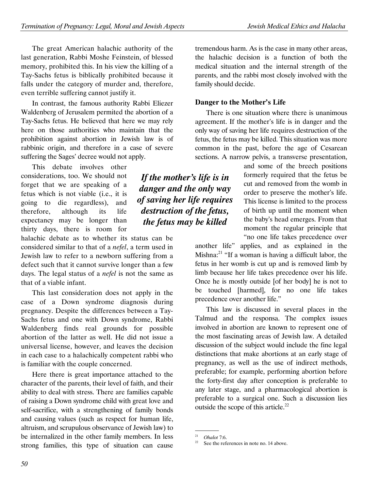The great American halachic authority of the last generation, Rabbi Moshe Feinstein, of blessed memory, prohibited this. In his view the killing of a Tay-Sachs fetus is biblically prohibited because it falls under the category of murder and, therefore, even terrible suffering cannot justify it.

In contrast, the famous authority Rabbi Eliezer Waldenberg of Jerusalem permited the abortion of a Tay-Sachs fetus. He believed that here we may rely here on those authorities who maintain that the prohibition against abortion in Jewish law is of rabbinic origin, and therefore in a case of severe suffering the Sages' decree would not apply.

This debate involves other considerations, too. We should not forget that we are speaking of a fetus which is not viable (i.e., it is going to die regardless), and therefore, although its life expectancy may be longer than thirty days, there is room for

halachic debate as to whether its status can be considered similar to that of a nefel, a term used in Jewish law to refer to a newborn suffering from a defect such that it cannot survive longer than a few days. The legal status of a nefel is not the same as that of a viable infant.

This last consideration does not apply in the case of a Down syndrome diagnosis during pregnancy. Despite the differences between a Tay-Sachs fetus and one with Down syndrome, Rabbi Waldenberg finds real grounds for possible abortion of the latter as well. He did not issue a universal license, however, and leaves the decision in each case to a halachically competent rabbi who is familiar with the couple concerned.

Here there is great importance attached to the character of the parents, their level of faith, and their ability to deal with stress. There are families capable of raising a Down syndrome child with great love and self-sacrifice, with a strengthening of family bonds and causing values (such as respect for human life, altruism, and scrupulous observance of Jewish law) to be internalized in the other family members. In less strong families, this type of situation can cause

tremendous harm. As is the case in many other areas, the halachic decision is a function of both the medical situation and the internal strength of the parents, and the rabbi most closely involved with the family should decide.

## Danger to the Mother's Life

There is one situation where there is unanimous agreement. If the mother's life is in danger and the only way of saving her life requires destruction of the fetus, the fetus may be killed. This situation was more common in the past, before the age of Cesarean sections. A narrow pelvis, a transverse presentation,

and some of the breech positions formerly required that the fetus be cut and removed from the womb in order to preserve the mother's life. This license is limited to the process of birth up until the moment when the baby's head emerges. From that moment the regular principle that "no one life takes precedence over

another life" applies, and as explained in the Mishna: $^{21}$  "If a woman is having a difficult labor, the fetus in her womb is cut up and is removed limb by limb because her life takes precedence over his life. Once he is mostly outside [of her body] he is not to be touched [harmed], for no one life takes precedence over another life."

This law is discussed in several places in the Talmud and the responsa. The complex issues involved in abortion are known to represent one of the most fascinating areas of Jewish law. A detailed discussion of the subject would include the fine legal distinctions that make abortions at an early stage of pregnancy, as well as the use of indirect methods, preferable; for example, performing abortion before the forty-first day after conception is preferable to any later stage, and a pharmacological abortion is preferable to a surgical one. Such a discussion lies outside the scope of this article.<sup>22</sup>

If the mother's life is in danger and the only way of saving her life requires destruction of the fetus, the fetus may be killed

<sup>&</sup>lt;sup>21</sup> Ohalot 7:6.

See the references in note no. 14 above.